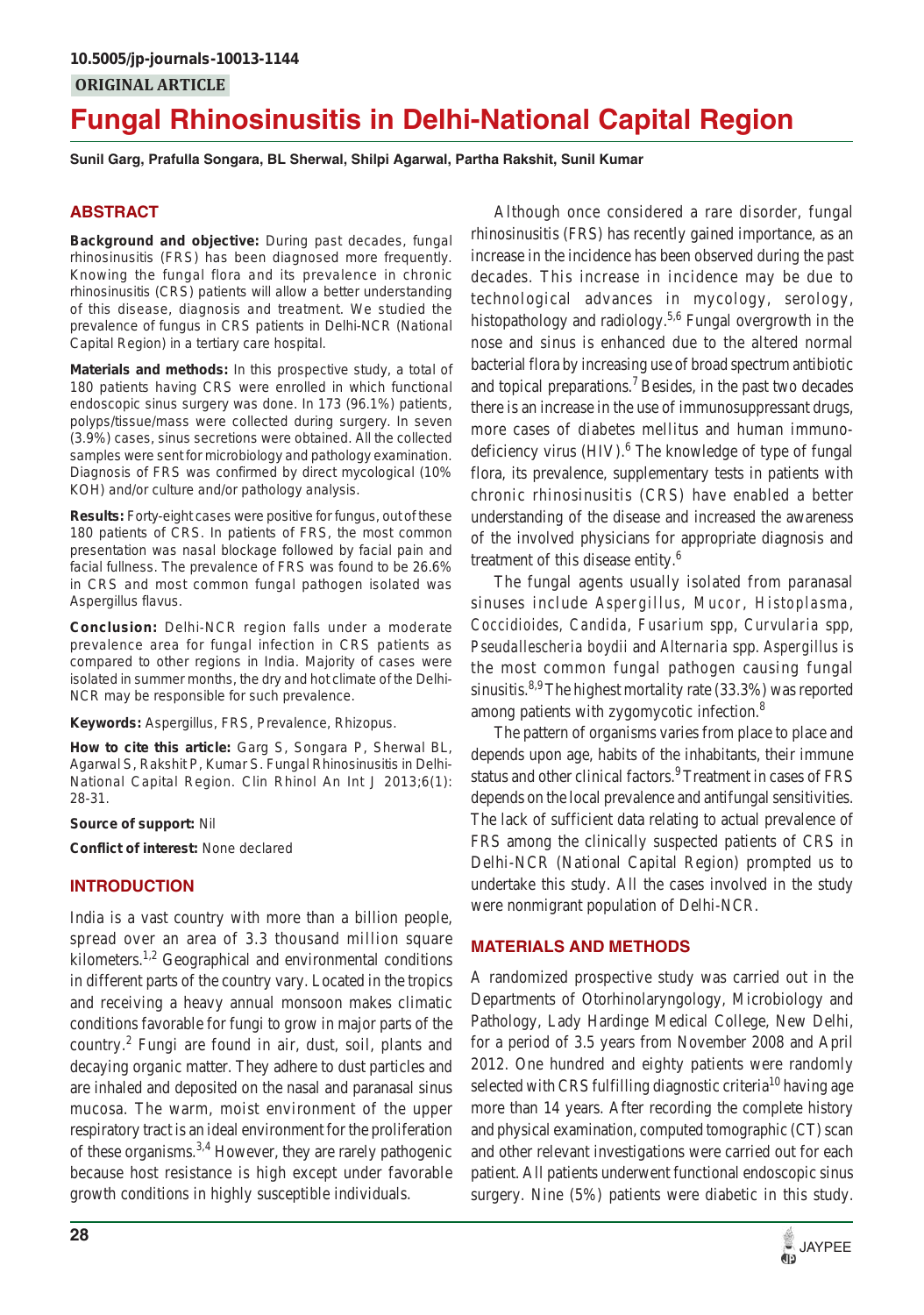# **Fungal Rhinosinusitis in Delhi-National Capital Region**

**Sunil Garg, Prafulla Songara, BL Sherwal, Shilpi Agarwal, Partha Rakshit, Sunil Kumar**

# **ABSTRACT**

**Background and objective:** During past decades, fungal rhinosinusitis (FRS) has been diagnosed more frequently. Knowing the fungal flora and its prevalence in chronic rhinosinusitis (CRS) patients will allow a better understanding of this disease, diagnosis and treatment. We studied the prevalence of fungus in CRS patients in Delhi-NCR (National Capital Region) in a tertiary care hospital.

**Materials and methods:** In this prospective study, a total of 180 patients having CRS were enrolled in which functional endoscopic sinus surgery was done. In 173 (96.1%) patients, polyps/tissue/mass were collected during surgery. In seven (3.9%) cases, sinus secretions were obtained. All the collected samples were sent for microbiology and pathology examination. Diagnosis of FRS was confirmed by direct mycological (10% KOH) and/or culture and/or pathology analysis.

**Results:** Forty-eight cases were positive for fungus, out of these 180 patients of CRS. In patients of FRS, the most common presentation was nasal blockage followed by facial pain and facial fullness. The prevalence of FRS was found to be 26.6% in CRS and most common fungal pathogen isolated was *Aspergillus flavus*.

**Conclusion:** Delhi-NCR region falls under a moderate prevalence area for fungal infection in CRS patients as compared to other regions in India. Majority of cases were isolated in summer months, the dry and hot climate of the Delhi-NCR may be responsible for such prevalence.

#### **Keywords:** *Aspergillus*, FRS, Prevalence, *Rhizopus*.

**How to cite this article:** Garg S, Songara P, Sherwal BL, Agarwal S, Rakshit P, Kumar S. Fungal Rhinosinusitis in Delhi-National Capital Region. Clin Rhinol An Int J 2013;6(1): 28-31.

#### **Source of support:** Nil

**Conflict of interest:** None declared

## **INTRODUCTION**

India is a vast country with more than a billion people, spread over an area of 3.3 thousand million square kilometers.<sup>1,2</sup> Geographical and environmental conditions in different parts of the country vary. Located in the tropics and receiving a heavy annual monsoon makes climatic conditions favorable for fungi to grow in major parts of the country.<sup>2</sup> Fungi are found in air, dust, soil, plants and decaying organic matter. They adhere to dust particles and are inhaled and deposited on the nasal and paranasal sinus mucosa. The warm, moist environment of the upper respiratory tract is an ideal environment for the proliferation of these organisms.3,4 However, they are rarely pathogenic because host resistance is high except under favorable growth conditions in highly susceptible individuals.

Although once considered a rare disorder, fungal rhinosinusitis (FRS) has recently gained importance, as an increase in the incidence has been observed during the past decades. This increase in incidence may be due to technological advances in mycology, serology, histopathology and radiology.<sup>5,6</sup> Fungal overgrowth in the nose and sinus is enhanced due to the altered normal bacterial flora by increasing use of broad spectrum antibiotic and topical preparations.<sup>7</sup> Besides, in the past two decades there is an increase in the use of immunosuppressant drugs, more cases of diabetes mellitus and human immunodeficiency virus (HIV).<sup>6</sup> The knowledge of type of fungal flora, its prevalence, supplementary tests in patients with chronic rhinosinusitis (CRS) have enabled a better understanding of the disease and increased the awareness of the involved physicians for appropriate diagnosis and treatment of this disease entity.<sup>6</sup>

The fungal agents usually isolated from paranasal sinuses include *Aspergillus*, *Mucor*, *Histoplasma*, *Coccidioides, Candida*, *Fusarium* spp, *Curvularia* spp, *Pseudallescheria boydii* and *Alternaria* spp. *Aspergillus* is the most common fungal pathogen causing fungal sinusitis.<sup>8,9</sup> The highest mortality rate  $(33.3\%)$  was reported among patients with zygomycotic infection.<sup>8</sup>

The pattern of organisms varies from place to place and depends upon age, habits of the inhabitants, their immune status and other clinical factors.<sup>9</sup> Treatment in cases of FRS depends on the local prevalence and antifungal sensitivities. The lack of sufficient data relating to actual prevalence of FRS among the clinically suspected patients of CRS in Delhi-NCR (National Capital Region) prompted us to undertake this study. All the cases involved in the study were nonmigrant population of Delhi-NCR.

## **MATERIALS AND METHODS**

A randomized prospective study was carried out in the Departments of Otorhinolaryngology, Microbiology and Pathology, Lady Hardinge Medical College, New Delhi, for a period of 3.5 years from November 2008 and April 2012. One hundred and eighty patients were randomly selected with CRS fulfilling diagnostic criteria<sup>10</sup> having age more than 14 years. After recording the complete history and physical examination, computed tomographic (CT) scan and other relevant investigations were carried out for each patient. All patients underwent functional endoscopic sinus surgery. Nine (5%) patients were diabetic in this study.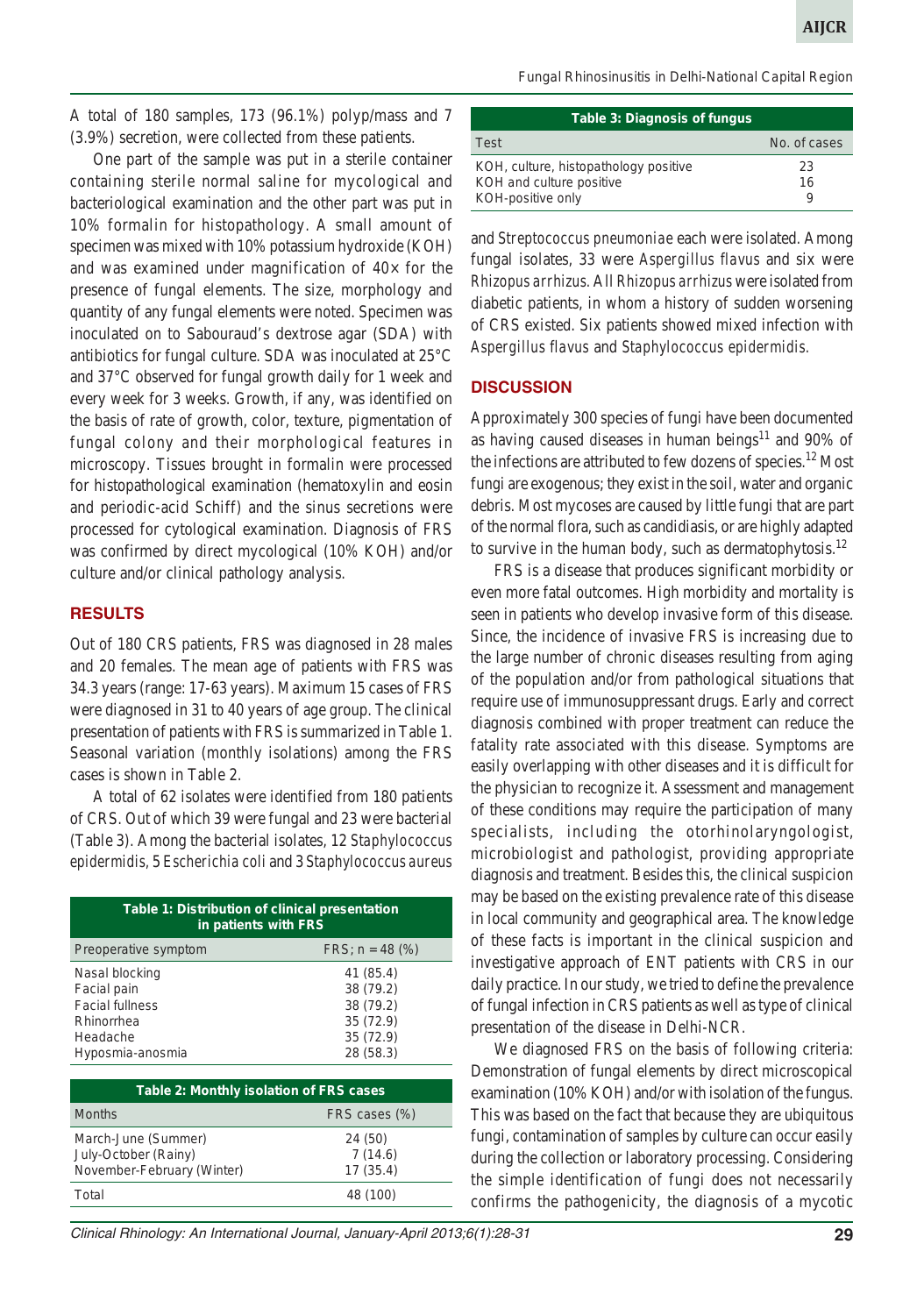A total of 180 samples, 173 (96.1%) polyp/mass and 7 (3.9%) secretion, were collected from these patients.

One part of the sample was put in a sterile container containing sterile normal saline for mycological and bacteriological examination and the other part was put in 10% formalin for histopathology. A small amount of specimen was mixed with 10% potassium hydroxide (KOH) and was examined under magnification of  $40\times$  for the presence of fungal elements. The size, morphology and quantity of any fungal elements were noted. Specimen was inoculated on to Sabouraud's dextrose agar (SDA) with antibiotics for fungal culture. SDA was inoculated at 25°C and 37°C observed for fungal growth daily for 1 week and every week for 3 weeks. Growth, if any, was identified on the basis of rate of growth, color, texture, pigmentation of fungal colony and their morphological features in microscopy. Tissues brought in formalin were processed for histopathological examination (hematoxylin and eosin and periodic-acid Schiff) and the sinus secretions were processed for cytological examination. Diagnosis of FRS was confirmed by direct mycological (10% KOH) and/or culture and/or clinical pathology analysis.

## **RESULTS**

Out of 180 CRS patients, FRS was diagnosed in 28 males and 20 females. The mean age of patients with FRS was 34.3 years (range: 17-63 years). Maximum 15 cases of FRS were diagnosed in 31 to 40 years of age group. The clinical presentation of patients with FRS is summarized in Table 1. Seasonal variation (monthly isolations) among the FRS cases is shown in Table 2.

A total of 62 isolates were identified from 180 patients of CRS. Out of which 39 were fungal and 23 were bacterial (Table 3). Among the bacterial isolates, 12 *Staphylococcus epidermidis,* 5 *Escherichia coli* and 3 *Staphylococcus aureus*

| Table 1: Distribution of clinical presentation<br>in patients with FRS |                        |  |
|------------------------------------------------------------------------|------------------------|--|
| Preoperative symptom                                                   | $FRS$ ; $n = 48$ (%)   |  |
| Nasal blocking<br>Facial pain                                          | 41 (85.4)<br>38 (79.2) |  |
| <b>Facial fullness</b>                                                 | 38 (79.2)              |  |
| Rhinorrhea<br>Headache                                                 | 35(72.9)<br>35(72.9)   |  |
| Hyposmia-anosmia                                                       | 28 (58.3)              |  |

| Table 2: Monthly isolation of FRS cases                                   |                                |  |
|---------------------------------------------------------------------------|--------------------------------|--|
| <b>Months</b>                                                             | FRS cases (%)                  |  |
| March-June (Summer)<br>July-October (Rainy)<br>November-February (Winter) | 24 (50)<br>7(14.6)<br>17(35.4) |  |
| Total                                                                     | 48 (100)                       |  |

*Fungal Rhinosinusitis in Delhi-National Capital Region*

| <b>Table 3: Diagnosis of fungus</b>   |              |  |
|---------------------------------------|--------------|--|
| Test                                  | No. of cases |  |
| KOH, culture, histopathology positive | 23           |  |
| KOH and culture positive              | 16           |  |
| KOH-positive only                     | 9            |  |

and *Streptococcus pneumoniae* each were isolated. Among fungal isolates, 33 were *Aspergillus flavus* and six were *Rhizopus arrhizus.* All *Rhizopus arrhizus* were isolated from diabetic patients, in whom a history of sudden worsening of CRS existed. Six patients showed mixed infection with *Aspergillus flavus* and *Staphylococcus epidermidis.*

## **DISCUSSION**

Approximately 300 species of fungi have been documented as having caused diseases in human beings<sup>11</sup> and 90% of the infections are attributed to few dozens of species.<sup>12</sup> Most fungi are exogenous; they exist in the soil, water and organic debris. Most mycoses are caused by little fungi that are part of the normal flora, such as candidiasis, or are highly adapted to survive in the human body, such as dermatophytosis.<sup>12</sup>

FRS is a disease that produces significant morbidity or even more fatal outcomes. High morbidity and mortality is seen in patients who develop invasive form of this disease. Since, the incidence of invasive FRS is increasing due to the large number of chronic diseases resulting from aging of the population and/or from pathological situations that require use of immunosuppressant drugs. Early and correct diagnosis combined with proper treatment can reduce the fatality rate associated with this disease. Symptoms are easily overlapping with other diseases and it is difficult for the physician to recognize it. Assessment and management of these conditions may require the participation of many specialists, including the otorhinolaryngologist, microbiologist and pathologist, providing appropriate diagnosis and treatment. Besides this, the clinical suspicion may be based on the existing prevalence rate of this disease in local community and geographical area. The knowledge of these facts is important in the clinical suspicion and investigative approach of ENT patients with CRS in our daily practice. In our study, we tried to define the prevalence of fungal infection in CRS patients as well as type of clinical presentation of the disease in Delhi-NCR.

We diagnosed FRS on the basis of following criteria: Demonstration of fungal elements by direct microscopical examination (10% KOH) and/or with isolation of the fungus. This was based on the fact that because they are ubiquitous fungi, contamination of samples by culture can occur easily during the collection or laboratory processing. Considering the simple identification of fungi does not necessarily confirms the pathogenicity, the diagnosis of a mycotic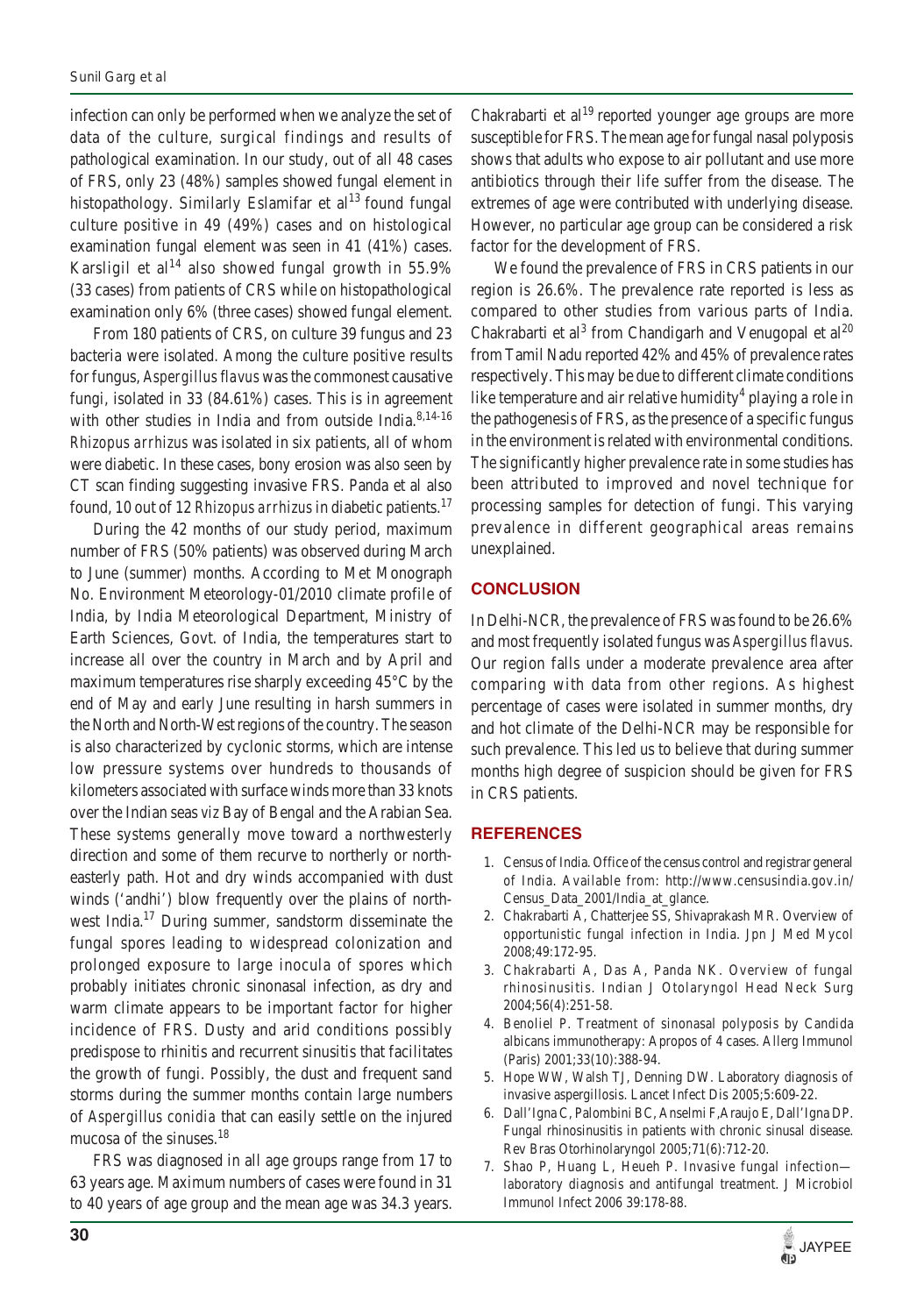infection can only be performed when we analyze the set of data of the culture, surgical findings and results of pathological examination. In our study, out of all 48 cases of FRS, only 23 (48%) samples showed fungal element in histopathology. Similarly Eslamifar et  $al<sup>13</sup>$  found fungal culture positive in 49 (49%) cases and on histological examination fungal element was seen in 41 (41%) cases. Karsligil et al<sup>14</sup> also showed fungal growth in 55.9% (33 cases) from patients of CRS while on histopathological examination only 6% (three cases) showed fungal element.

From 180 patients of CRS, on culture 39 fungus and 23 bacteria were isolated. Among the culture positive results for fungus, *Aspergillus flavus* was the commonest causative fungi, isolated in 33 (84.61%) cases. This is in agreement with other studies in India and from outside India.<sup>8,14-16</sup> *Rhizopus arrhizus* was isolated in six patients, all of whom were diabetic. In these cases, bony erosion was also seen by CT scan finding suggesting invasive FRS. Panda et al also found, 10 out of 12 *Rhizopus arrhizus* in diabetic patients.<sup>17</sup>

During the 42 months of our study period, maximum number of FRS (50% patients) was observed during March to June (summer) months. According to Met Monograph No. Environment Meteorology-01/2010 climate profile of India, by India Meteorological Department, Ministry of Earth Sciences, Govt. of India, the temperatures start to increase all over the country in March and by April and maximum temperatures rise sharply exceeding 45°C by the end of May and early June resulting in harsh summers in the North and North-West regions of the country. The season is also characterized by cyclonic storms, which are intense low pressure systems over hundreds to thousands of kilometers associated with surface winds more than 33 knots over the Indian seas *viz* Bay of Bengal and the Arabian Sea. These systems generally move toward a northwesterly direction and some of them recurve to northerly or northeasterly path. Hot and dry winds accompanied with dust winds ('andhi') blow frequently over the plains of northwest India.17 During summer, sandstorm disseminate the fungal spores leading to widespread colonization and prolonged exposure to large inocula of spores which probably initiates chronic sinonasal infection, as dry and warm climate appears to be important factor for higher incidence of FRS. Dusty and arid conditions possibly predispose to rhinitis and recurrent sinusitis that facilitates the growth of fungi. Possibly, the dust and frequent sand storms during the summer months contain large numbers of *Aspergillus conidia* that can easily settle on the injured mucosa of the sinuses.<sup>18</sup>

FRS was diagnosed in all age groups range from 17 to 63 years age. Maximum numbers of cases were found in 31 to 40 years of age group and the mean age was 34.3 years.

Chakrabarti et al<sup>19</sup> reported younger age groups are more susceptible for FRS. The mean age for fungal nasal polyposis shows that adults who expose to air pollutant and use more antibiotics through their life suffer from the disease. The extremes of age were contributed with underlying disease. However, no particular age group can be considered a risk factor for the development of FRS.

We found the prevalence of FRS in CRS patients in our region is 26.6%. The prevalence rate reported is less as compared to other studies from various parts of India. Chakrabarti et al<sup>3</sup> from Chandigarh and Venugopal et al<sup>20</sup> from Tamil Nadu reported 42% and 45% of prevalence rates respectively. This may be due to different climate conditions like temperature and air relative humidity<sup>4</sup> playing a role in the pathogenesis of FRS, as the presence of a specific fungus in the environment is related with environmental conditions. The significantly higher prevalence rate in some studies has been attributed to improved and novel technique for processing samples for detection of fungi. This varying prevalence in different geographical areas remains unexplained.

## **CONCLUSION**

In Delhi-NCR, the prevalence of FRS was found to be 26.6% and most frequently isolated fungus was *Aspergillus flavus*. Our region falls under a moderate prevalence area after comparing with data from other regions. As highest percentage of cases were isolated in summer months, dry and hot climate of the Delhi-NCR may be responsible for such prevalence. This led us to believe that during summer months high degree of suspicion should be given for FRS in CRS patients.

## **REFERENCES**

- 1. Census of India. Office of the census control and registrar general of India. Available from: http://www.censusindia.gov.in/ Census\_Data\_2001/India\_at\_glance.
- 2. Chakrabarti A, Chatterjee SS, Shivaprakash MR. Overview of opportunistic fungal infection in India. Jpn J Med Mycol 2008;49:172-95.
- 3. Chakrabarti A, Das A, Panda NK. Overview of fungal rhinosinusitis. Indian J Otolaryngol Head Neck Surg 2004;56(4):251-58.
- 4. Benoliel P. Treatment of sinonasal polyposis by Candida albicans immunotherapy: Apropos of 4 cases. Allerg Immunol (Paris) 2001;33(10):388-94.
- 5. Hope WW, Walsh TJ, Denning DW. Laboratory diagnosis of invasive aspergillosis. Lancet Infect Dis 2005;5:609-22.
- 6. Dall'Igna C, Palombini BC, Anselmi F,Araujo E, Dall'Igna DP. Fungal rhinosinusitis in patients with chronic sinusal disease. Rev Bras Otorhinolaryngol 2005;71(6):712-20.
- 7. Shao P, Huang L, Heueh P. Invasive fungal infection laboratory diagnosis and antifungal treatment. J Microbiol Immunol Infect 2006 39:178-88.